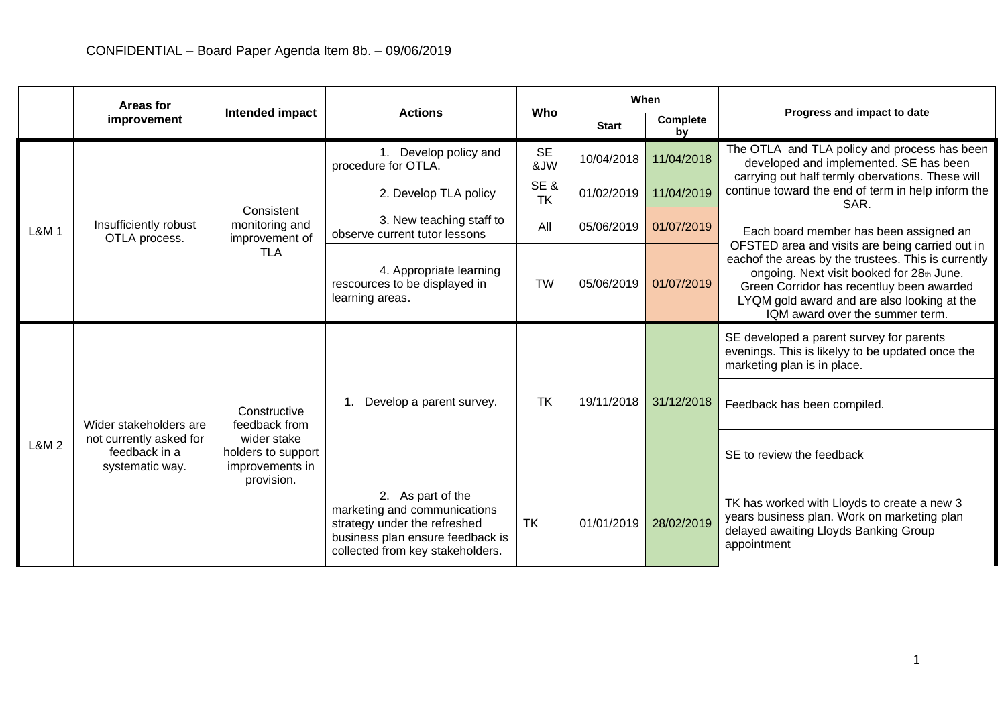| Areas for |                                                                                       |                                                                                                     |                                                                                                                                                           |                  | When         |                |                                                                                                                                                                                                                                                                                                                                                                                                                                                                                                                                          |
|-----------|---------------------------------------------------------------------------------------|-----------------------------------------------------------------------------------------------------|-----------------------------------------------------------------------------------------------------------------------------------------------------------|------------------|--------------|----------------|------------------------------------------------------------------------------------------------------------------------------------------------------------------------------------------------------------------------------------------------------------------------------------------------------------------------------------------------------------------------------------------------------------------------------------------------------------------------------------------------------------------------------------------|
|           | improvement                                                                           | Intended impact                                                                                     | <b>Actions</b>                                                                                                                                            | Who              | <b>Start</b> | Complete<br>bv | Progress and impact to date                                                                                                                                                                                                                                                                                                                                                                                                                                                                                                              |
| L&M 1     | Insufficiently robust<br>OTLA process.                                                | Consistent<br>monitoring and<br>improvement of<br><b>TLA</b>                                        | 1. Develop policy and<br>procedure for OTLA.                                                                                                              | <b>SE</b><br>&JW | 10/04/2018   | 11/04/2018     | The OTLA and TLA policy and process has been<br>developed and implemented. SE has been<br>carrying out half termly obervations. These will<br>continue toward the end of term in help inform the<br>SAR.<br>Each board member has been assigned an<br>OFSTED area and visits are being carried out in<br>eachof the areas by the trustees. This is currently<br>ongoing. Next visit booked for 28th June.<br>Green Corridor has recentluy been awarded<br>LYQM gold award and are also looking at the<br>IQM award over the summer term. |
|           |                                                                                       |                                                                                                     | 2. Develop TLA policy                                                                                                                                     | SE&<br><b>TK</b> | 01/02/2019   | 11/04/2019     |                                                                                                                                                                                                                                                                                                                                                                                                                                                                                                                                          |
|           |                                                                                       |                                                                                                     | 3. New teaching staff to<br>observe current tutor lessons                                                                                                 | All              | 05/06/2019   | 01/07/2019     |                                                                                                                                                                                                                                                                                                                                                                                                                                                                                                                                          |
|           |                                                                                       |                                                                                                     | 4. Appropriate learning<br>rescources to be displayed in<br>learning areas.                                                                               | <b>TW</b>        | 05/06/2019   | 01/07/2019     |                                                                                                                                                                                                                                                                                                                                                                                                                                                                                                                                          |
| L&M 2     | Wider stakeholders are<br>not currently asked for<br>feedback in a<br>systematic way. | Constructive<br>feedback from<br>wider stake<br>holders to support<br>improvements in<br>provision. | 1. Develop a parent survey.                                                                                                                               | <b>TK</b>        | 19/11/2018   | 31/12/2018     | SE developed a parent survey for parents<br>evenings. This is likelyy to be updated once the<br>marketing plan is in place.                                                                                                                                                                                                                                                                                                                                                                                                              |
|           |                                                                                       |                                                                                                     |                                                                                                                                                           |                  |              |                | Feedback has been compiled.                                                                                                                                                                                                                                                                                                                                                                                                                                                                                                              |
|           |                                                                                       |                                                                                                     |                                                                                                                                                           |                  |              |                | SE to review the feedback                                                                                                                                                                                                                                                                                                                                                                                                                                                                                                                |
|           |                                                                                       |                                                                                                     | 2. As part of the<br>marketing and communications<br>strategy under the refreshed<br>business plan ensure feedback is<br>collected from key stakeholders. | <b>TK</b>        | 01/01/2019   | 28/02/2019     | TK has worked with Lloyds to create a new 3<br>years business plan. Work on marketing plan<br>delayed awaiting Lloyds Banking Group<br>appointment                                                                                                                                                                                                                                                                                                                                                                                       |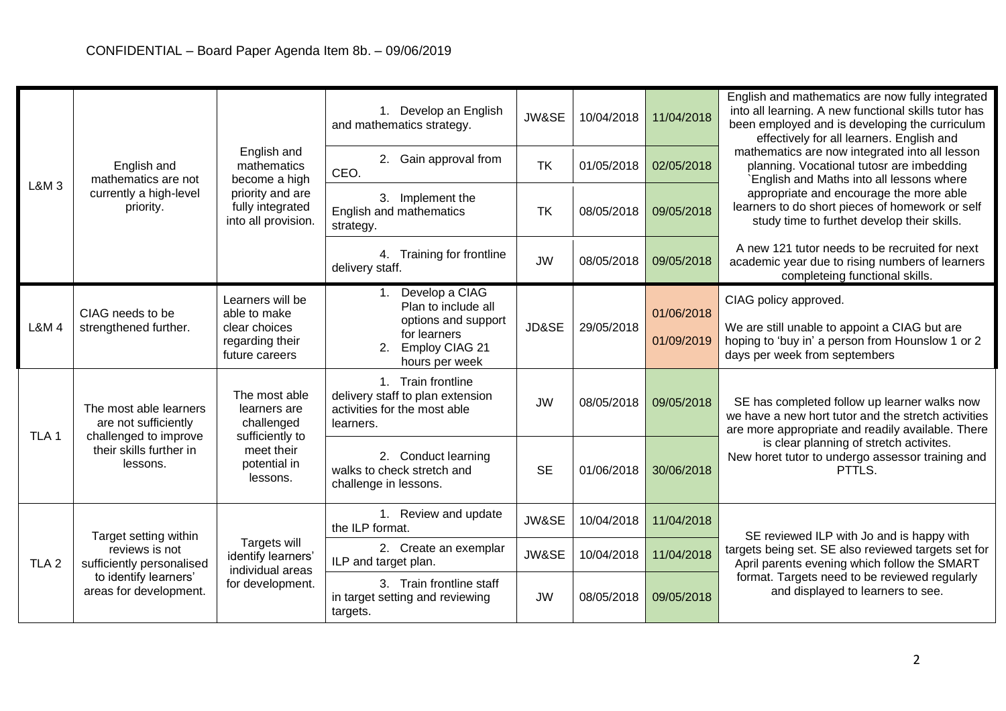| <b>L&amp;M3</b>  | English and<br>mathematics are not<br>currently a high-level<br>priority.                                               | English and<br>mathematics<br>become a high<br>priority and are<br>fully integrated<br>into all provision. | 1. Develop an English<br>and mathematics strategy.                                                  | JW&SE     | 10/04/2018 | 11/04/2018 | English and mathematics are now fully integrated<br>into all learning. A new functional skills tutor has<br>been employed and is developing the curriculum<br>effectively for all learners. English and<br>mathematics are now integrated into all lesson<br>planning. Vocational tutosr are imbedding<br>English and Maths into all lessons where<br>appropriate and encourage the more able<br>learners to do short pieces of homework or self<br>study time to furthet develop their skills. |
|------------------|-------------------------------------------------------------------------------------------------------------------------|------------------------------------------------------------------------------------------------------------|-----------------------------------------------------------------------------------------------------|-----------|------------|------------|-------------------------------------------------------------------------------------------------------------------------------------------------------------------------------------------------------------------------------------------------------------------------------------------------------------------------------------------------------------------------------------------------------------------------------------------------------------------------------------------------|
|                  |                                                                                                                         |                                                                                                            | 2. Gain approval from<br>CEO.                                                                       | <b>TK</b> | 01/05/2018 | 02/05/2018 |                                                                                                                                                                                                                                                                                                                                                                                                                                                                                                 |
|                  |                                                                                                                         |                                                                                                            | 3. Implement the<br><b>English and mathematics</b><br>strategy.                                     | <b>TK</b> | 08/05/2018 | 09/05/2018 |                                                                                                                                                                                                                                                                                                                                                                                                                                                                                                 |
|                  |                                                                                                                         |                                                                                                            | 4. Training for frontline<br>delivery staff.                                                        | <b>JW</b> | 08/05/2018 | 09/05/2018 | A new 121 tutor needs to be recruited for next<br>academic year due to rising numbers of learners<br>completeing functional skills.                                                                                                                                                                                                                                                                                                                                                             |
|                  | CIAG needs to be<br>strengthened further.                                                                               | Learners will be<br>able to make<br>clear choices<br>regarding their<br>future careers                     | Develop a CIAG<br>1.<br>Plan to include all                                                         |           |            | 01/06/2018 | CIAG policy approved.                                                                                                                                                                                                                                                                                                                                                                                                                                                                           |
| <b>L&amp;M4</b>  |                                                                                                                         |                                                                                                            | options and support<br>for learners<br>Employ CIAG 21<br>2.<br>hours per week                       | JD&SE     | 29/05/2018 | 01/09/2019 | We are still unable to appoint a CIAG but are<br>hoping to 'buy in' a person from Hounslow 1 or 2<br>days per week from septembers                                                                                                                                                                                                                                                                                                                                                              |
| TLA <sub>1</sub> | The most able learners<br>are not sufficiently<br>challenged to improve<br>their skills further in<br>lessons.          | The most able<br>learners are<br>challenged<br>sufficiently to<br>meet their<br>potential in<br>lessons.   | 1. Train frontline<br>delivery staff to plan extension<br>activities for the most able<br>learners. | <b>JW</b> | 08/05/2018 | 09/05/2018 | SE has completed follow up learner walks now<br>we have a new hort tutor and the stretch activities<br>are more appropriate and readily available. There                                                                                                                                                                                                                                                                                                                                        |
|                  |                                                                                                                         |                                                                                                            | 2. Conduct learning<br>walks to check stretch and<br>challenge in lessons.                          | <b>SE</b> | 01/06/2018 | 30/06/2018 | is clear planning of stretch activites.<br>New horet tutor to undergo assessor training and<br>PTTLS.                                                                                                                                                                                                                                                                                                                                                                                           |
| TLA <sub>2</sub> | Target setting within<br>reviews is not<br>sufficiently personalised<br>to identify learners'<br>areas for development. | Targets will<br>identify learners'<br>individual areas<br>for development.                                 | 1. Review and update<br>the ILP format.                                                             | JW&SE     | 10/04/2018 | 11/04/2018 | SE reviewed ILP with Jo and is happy with                                                                                                                                                                                                                                                                                                                                                                                                                                                       |
|                  |                                                                                                                         |                                                                                                            | 2. Create an exemplar<br>ILP and target plan.                                                       | JW&SE     | 10/04/2018 | 11/04/2018 | targets being set. SE also reviewed targets set for<br>April parents evening which follow the SMART                                                                                                                                                                                                                                                                                                                                                                                             |
|                  |                                                                                                                         |                                                                                                            | 3. Train frontline staff<br>in target setting and reviewing<br>targets.                             | <b>JW</b> | 08/05/2018 | 09/05/2018 | format. Targets need to be reviewed regularly<br>and displayed to learners to see.                                                                                                                                                                                                                                                                                                                                                                                                              |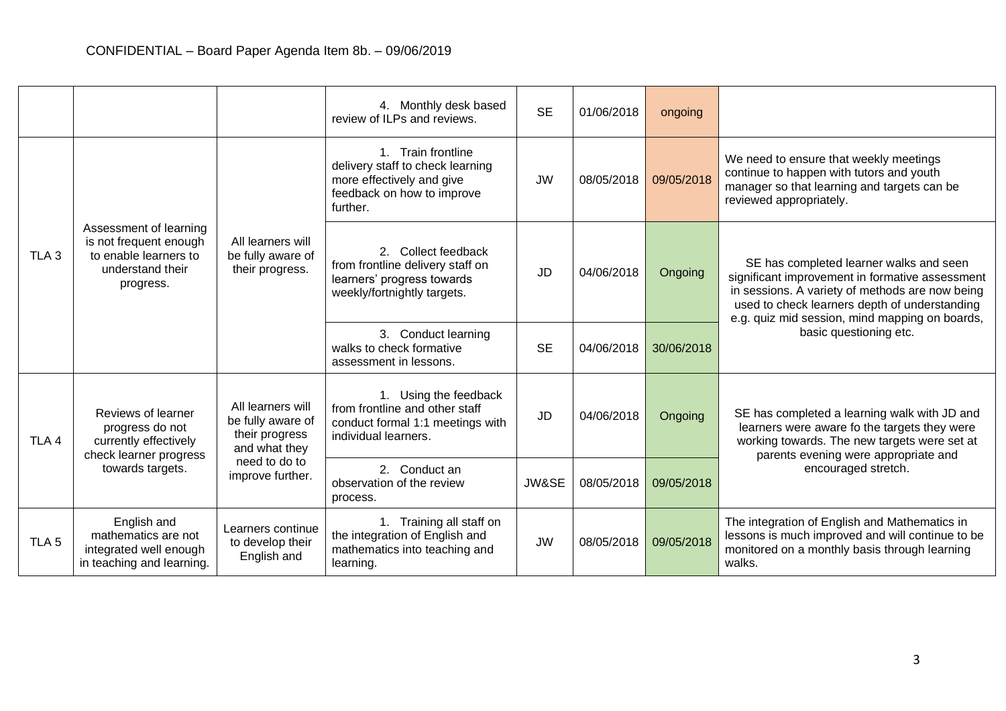|                  |                                                                                                              |                                                                                                                | 4. Monthly desk based<br>review of ILPs and reviews.                                                                          | <b>SE</b> | 01/06/2018 | ongoing    |                                                                                                                                                                                                                                                                                                                                                                                                                                                                    |
|------------------|--------------------------------------------------------------------------------------------------------------|----------------------------------------------------------------------------------------------------------------|-------------------------------------------------------------------------------------------------------------------------------|-----------|------------|------------|--------------------------------------------------------------------------------------------------------------------------------------------------------------------------------------------------------------------------------------------------------------------------------------------------------------------------------------------------------------------------------------------------------------------------------------------------------------------|
| TLA <sub>3</sub> | Assessment of learning<br>is not frequent enough<br>to enable learners to<br>understand their<br>progress.   | All learners will<br>be fully aware of<br>their progress.                                                      | 1. Train frontline<br>delivery staff to check learning<br>more effectively and give<br>feedback on how to improve<br>further. | <b>JW</b> | 08/05/2018 | 09/05/2018 | We need to ensure that weekly meetings<br>continue to happen with tutors and youth<br>manager so that learning and targets can be<br>reviewed appropriately.                                                                                                                                                                                                                                                                                                       |
|                  |                                                                                                              |                                                                                                                | 2. Collect feedback<br>from frontline delivery staff on<br>learners' progress towards<br>weekly/fortnightly targets.          | <b>JD</b> | 04/06/2018 | Ongoing    | SE has completed learner walks and seen<br>significant improvement in formative assessment<br>in sessions. A variety of methods are now being<br>used to check learners depth of understanding<br>e.g. quiz mid session, mind mapping on boards,<br>basic questioning etc.<br>SE has completed a learning walk with JD and<br>learners were aware fo the targets they were<br>working towards. The new targets were set at<br>parents evening were appropriate and |
|                  |                                                                                                              |                                                                                                                | 3. Conduct learning<br>walks to check formative<br>assessment in lessons.                                                     | <b>SE</b> | 04/06/2018 | 30/06/2018 |                                                                                                                                                                                                                                                                                                                                                                                                                                                                    |
| TLA <sub>4</sub> | Reviews of learner<br>progress do not<br>currently effectively<br>check learner progress<br>towards targets. | All learners will<br>be fully aware of<br>their progress<br>and what they<br>need to do to<br>improve further. | 1. Using the feedback<br>from frontline and other staff<br>conduct formal 1:1 meetings with<br>individual learners.           | <b>JD</b> | 04/06/2018 | Ongoing    |                                                                                                                                                                                                                                                                                                                                                                                                                                                                    |
|                  |                                                                                                              |                                                                                                                | 2. Conduct an<br>observation of the review<br>process.                                                                        | JW&SE     | 08/05/2018 | 09/05/2018 | encouraged stretch.                                                                                                                                                                                                                                                                                                                                                                                                                                                |
| TLA <sub>5</sub> | English and<br>mathematics are not<br>integrated well enough<br>in teaching and learning.                    | Learners continue<br>to develop their<br>English and                                                           | 1. Training all staff on<br>the integration of English and<br>mathematics into teaching and<br>learning.                      | <b>JW</b> | 08/05/2018 | 09/05/2018 | The integration of English and Mathematics in<br>lessons is much improved and will continue to be<br>monitored on a monthly basis through learning<br>walks.                                                                                                                                                                                                                                                                                                       |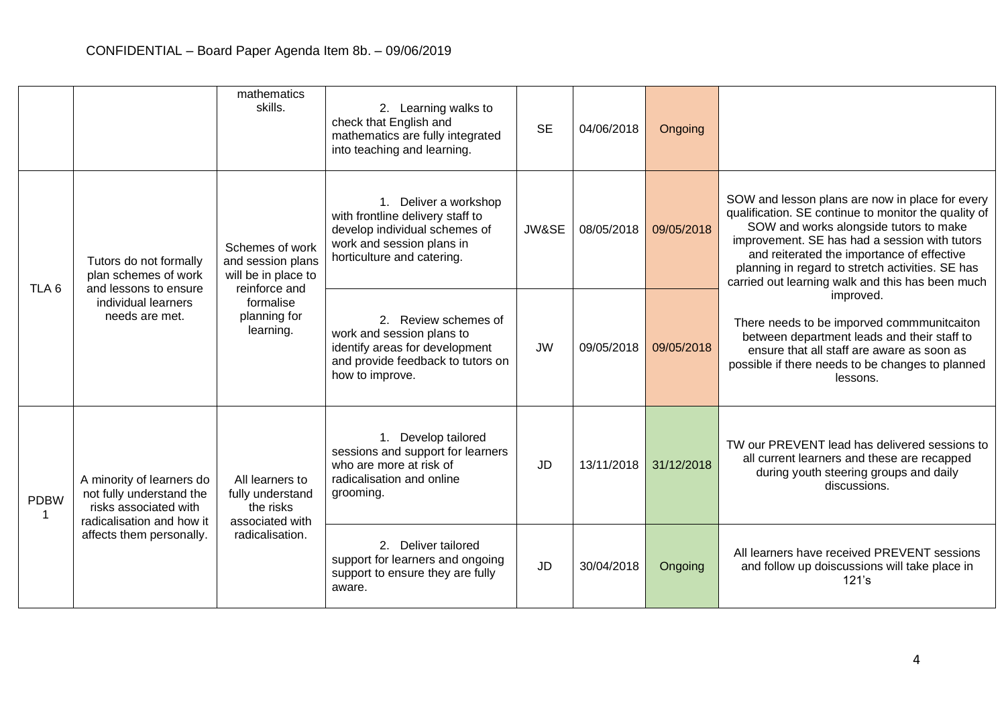|                  |                                                                                                                                         | mathematics<br>skills.                                                                                                 | 2. Learning walks to<br>check that English and<br>mathematics are fully integrated<br>into teaching and learning.                                     | <b>SE</b> | 04/06/2018 | Ongoing    |                                                                                                                                                                                                                                                                                                                                                                                                                                                                                                                                                                                  |
|------------------|-----------------------------------------------------------------------------------------------------------------------------------------|------------------------------------------------------------------------------------------------------------------------|-------------------------------------------------------------------------------------------------------------------------------------------------------|-----------|------------|------------|----------------------------------------------------------------------------------------------------------------------------------------------------------------------------------------------------------------------------------------------------------------------------------------------------------------------------------------------------------------------------------------------------------------------------------------------------------------------------------------------------------------------------------------------------------------------------------|
| TLA <sub>6</sub> | Tutors do not formally<br>plan schemes of work<br>and lessons to ensure<br>individual learners<br>needs are met.                        | Schemes of work<br>and session plans<br>will be in place to<br>reinforce and<br>formalise<br>planning for<br>learning. | 1. Deliver a workshop<br>with frontline delivery staff to<br>develop individual schemes of<br>work and session plans in<br>horticulture and catering. | JW&SE     | 08/05/2018 | 09/05/2018 | SOW and lesson plans are now in place for every<br>qualification. SE continue to monitor the quality of<br>SOW and works alongside tutors to make<br>improvement. SE has had a session with tutors<br>and reiterated the importance of effective<br>planning in regard to stretch activities. SE has<br>carried out learning walk and this has been much<br>improved.<br>There needs to be imporved commmunitcaiton<br>between department leads and their staff to<br>ensure that all staff are aware as soon as<br>possible if there needs to be changes to planned<br>lessons. |
|                  |                                                                                                                                         |                                                                                                                        | 2. Review schemes of<br>work and session plans to<br>identify areas for development<br>and provide feedback to tutors on<br>how to improve.           | <b>JW</b> | 09/05/2018 | 09/05/2018 |                                                                                                                                                                                                                                                                                                                                                                                                                                                                                                                                                                                  |
| <b>PDBW</b><br>1 | A minority of learners do<br>not fully understand the<br>risks associated with<br>radicalisation and how it<br>affects them personally. | All learners to<br>fully understand<br>the risks<br>associated with<br>radicalisation.                                 | 1. Develop tailored<br>sessions and support for learners<br>who are more at risk of<br>radicalisation and online<br>grooming.                         | <b>JD</b> | 13/11/2018 | 31/12/2018 | TW our PREVENT lead has delivered sessions to<br>all current learners and these are recapped<br>during youth steering groups and daily<br>discussions.                                                                                                                                                                                                                                                                                                                                                                                                                           |
|                  |                                                                                                                                         |                                                                                                                        | 2. Deliver tailored<br>support for learners and ongoing<br>support to ensure they are fully<br>aware.                                                 | <b>JD</b> | 30/04/2018 | Ongoing    | All learners have received PREVENT sessions<br>and follow up doiscussions will take place in<br>121's                                                                                                                                                                                                                                                                                                                                                                                                                                                                            |